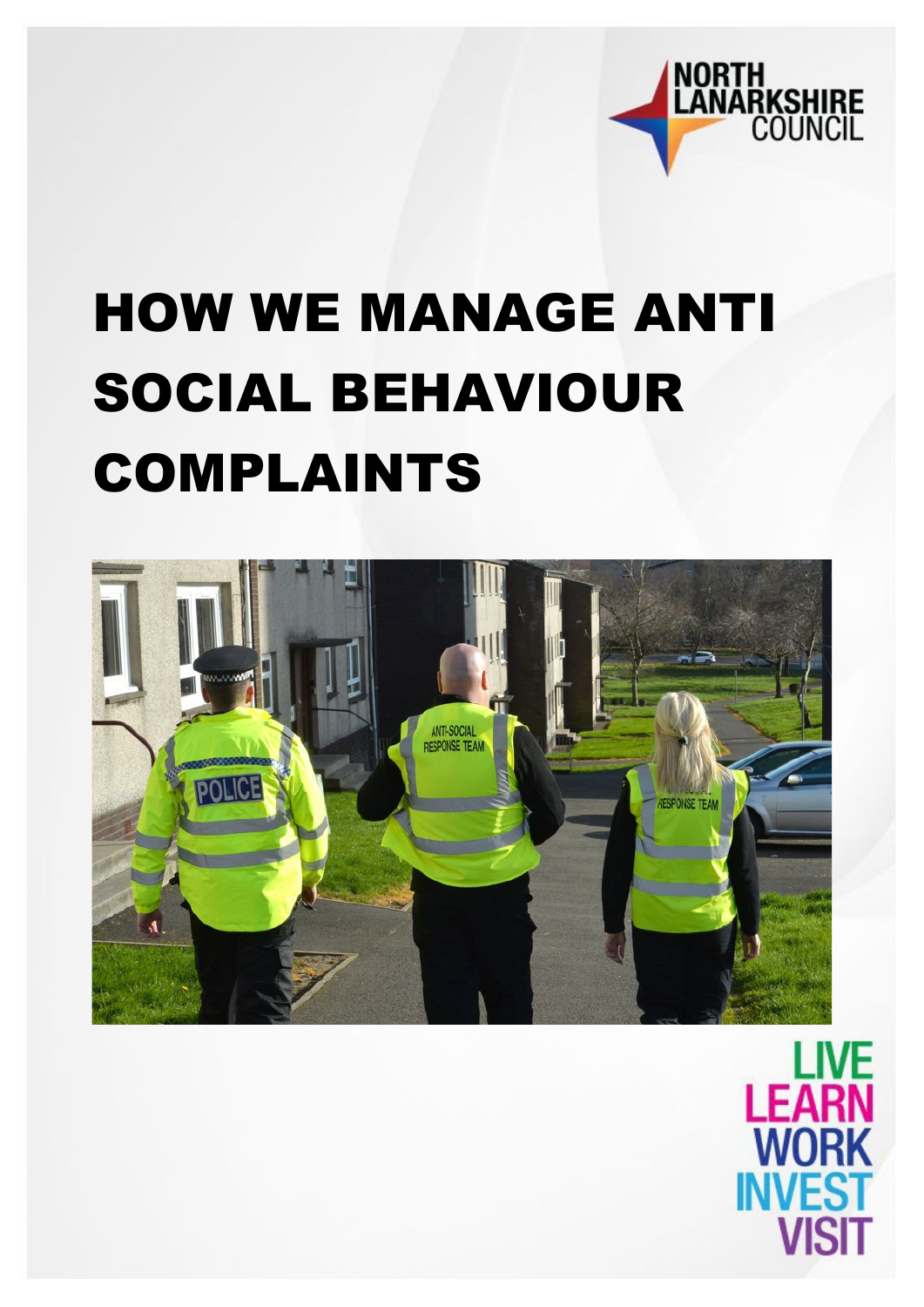

# HOW WE MANAGE ANTI SOCIAL BEHAVIOUR COMPLAINTS



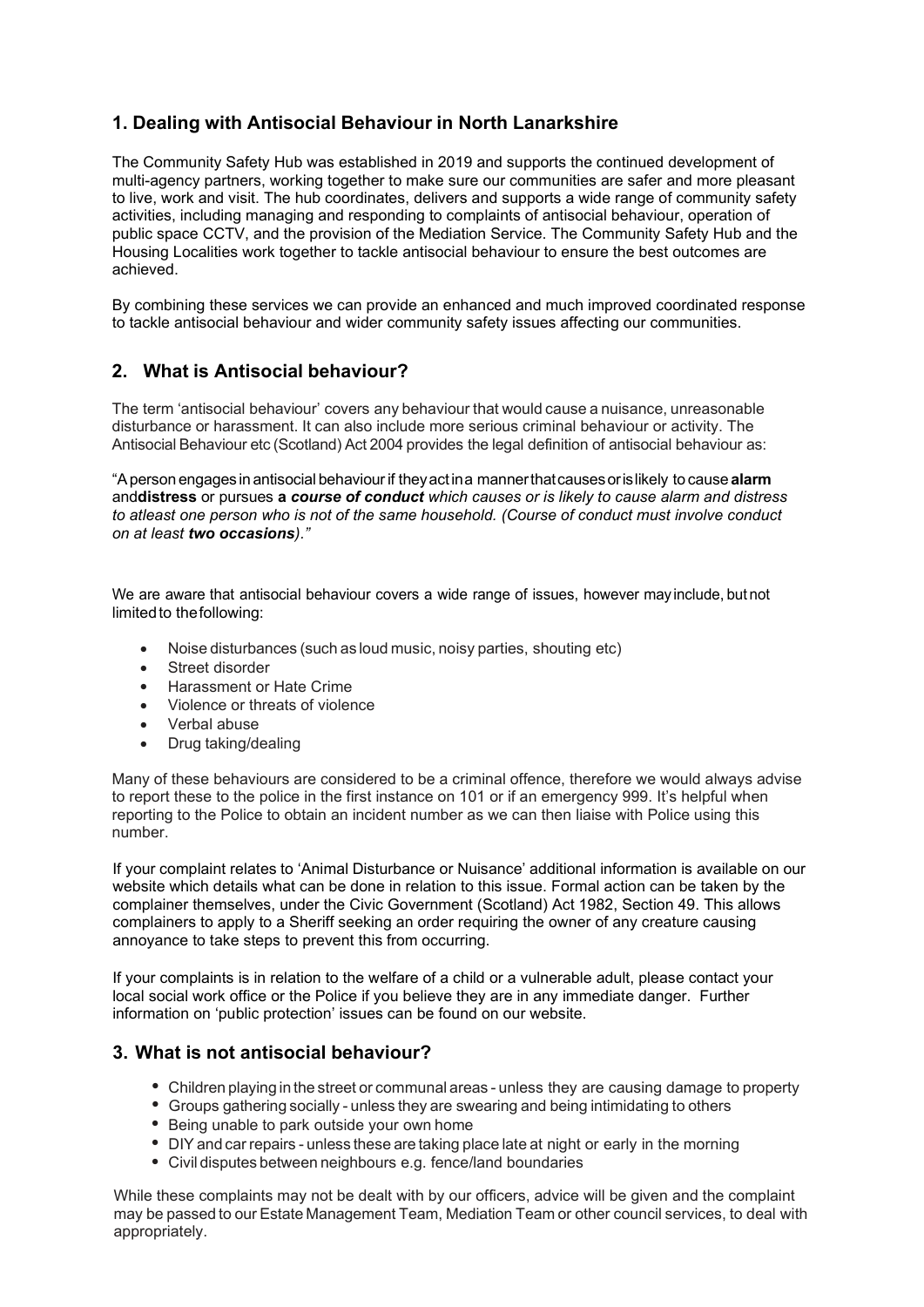# **1. Dealing with Antisocial Behaviour in North Lanarkshire**

The Community Safety Hub was established in 2019 and supports the continued development of multi-agency partners, working together to make sure our communities are safer and more pleasant to live, work and visit. The hub coordinates, delivers and supports a wide range of community safety activities, including managing and responding to complaints of antisocial behaviour, operation of public space CCTV, and the provision of the Mediation Service. The Community Safety Hub and the Housing Localities work together to tackle antisocial behaviour to ensure the best outcomes are achieved.

By combining these services we can provide an enhanced and much improved coordinated response to tackle antisocial behaviour and wider community safety issues affecting our communities.

# **2. What is Antisocial behaviour?**

The term 'antisocial behaviour' covers any behaviour that would cause a nuisance, unreasonable disturbance or harassment. It can also include more serious criminal behaviour or activity. The Antisocial Behaviour etc (Scotland) Act 2004 provides the legal definition of antisocial behaviour as:

"Aperson engages in antisocial behaviourif theyactina mannerthatcausesorislikely to cause **alarm** and**distress** or pursues **a** *course of conduct which causes or is likely to cause alarm and distress to atleast one person who is not of the same household. (Course of conduct must involve conduct on at least two occasions)."*

We are aware that antisocial behaviour covers a wide range of issues, however may include, but not limited to the following:

- Noise disturbances (such as loud music, noisy parties, shouting etc)
- Street disorder
- Harassment or Hate Crime
- Violence or threats of violence
- Verbal abuse
- Drug taking/dealing

Many of these behaviours are considered to be a criminal offence, therefore we would always advise to report these to the police in the first instance on 101 or if an emergency 999. It's helpful when reporting to the Police to obtain an incident number as we can then liaise with Police using this number.

If your complaint relates to 'Animal Disturbance or Nuisance' additional information is available on our website which details what can be done in relation to this issue. Formal action can be taken by the complainer themselves, under the Civic Government (Scotland) Act 1982, Section 49. This allows complainers to apply to a Sheriff seeking an order requiring the owner of any creature causing annoyance to take steps to prevent this from occurring.

If your complaints is in relation to the welfare of a child or a vulnerable adult, please contact your local social work office or the Police if you believe they are in any immediate danger. Further information on 'public protection' issues can be found on our website.

# **3. What is not antisocial behaviour?**

- Children playing in the street or communal areas unless they are causing damage to property
- Groups gathering socially unless they are swearing and being intimidating to others
- Being unable to park outside your own home
- DIY and carrepairs unless these are taking place late at night or early in the morning
- Civil disputes between neighbours e.g. fence/land boundaries

While these complaints may not be dealt with by our officers, advice will be given and the complaint may be passed to our Estate Management Team, Mediation Team or other council services, to deal with appropriately.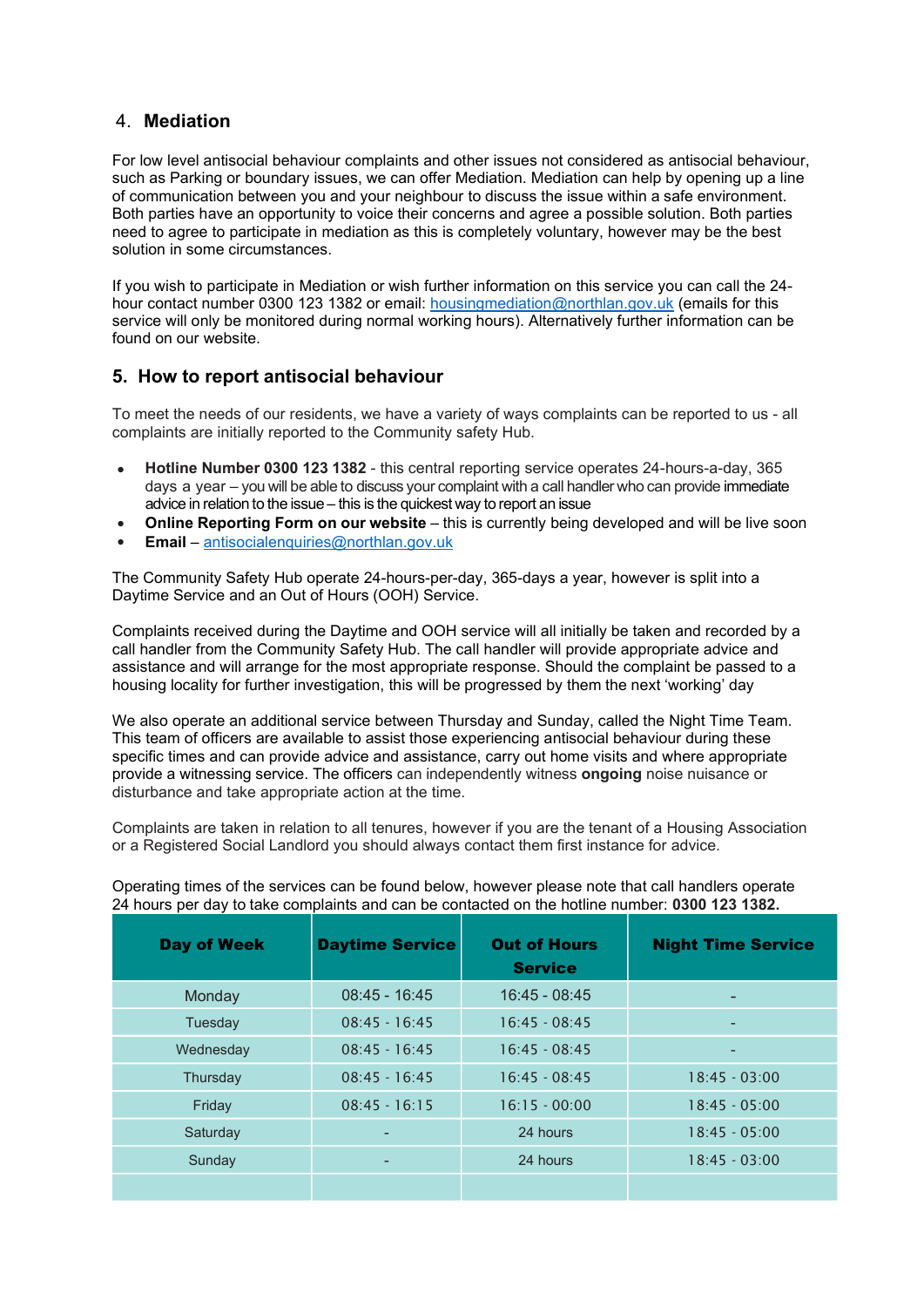# 4. **Mediation**

For low level antisocial behaviour complaints and other issues not considered as antisocial behaviour, such as Parking or boundary issues, we can offer Mediation. Mediation can help by opening up a line of communication between you and your neighbour to discuss the issue within a safe environment. Both parties have an opportunity to voice their concerns and agree a possible solution. Both parties need to agree to participate in mediation as this is completely voluntary, however may be the best solution in some circumstances.

If you wish to participate in Mediation or wish further information on this service you can call the 24 hour contact number 0300 123 1382 or email: [housingmediation@northlan.gov.uk](mailto:housingmediation@northlan.gov.uk) (emails for this service will only be monitored during normal working hours). Alternatively further information can be found on our website.

# **5. How to report antisocial behaviour**

To meet the needs of our residents, we have a variety of ways complaints can be reported to us - all complaints are initially reported to the Community safety Hub.

- **Hotline Number 0300 123 1382**  this central reporting service operates 24-hours-a-day, 365 days a year – you will be able to discuss your complaint with a call handler who can provide immediate advice in relation to the issue – this is the quickest way to report an issue
- **Online Reporting Form on our website** this is currently being developed and will be live soon •
- **Email** [antisocialenquiries@northlan.gov.uk](mailto:antisocialenquiries@northlan.gov.uk) •

The Community Safety Hub operate 24-hours-per-day, 365-days a year, however is split into a Daytime Service and an Out of Hours (OOH) Service.

Complaints received during the Daytime and OOH service will all initially be taken and recorded by a call handler from the Community Safety Hub. The call handler will provide appropriate advice and assistance and will arrange for the most appropriate response. Should the complaint be passed to a housing locality for further investigation, this will be progressed by them the next 'working' day

We also operate an additional service between Thursday and Sunday, called the Night Time Team. This team of officers are available to assist those experiencing antisocial behaviour during these specific times and can provide advice and assistance, carry out home visits and where appropriate provide a witnessing service. The officers can independently witness **ongoing** noise nuisance or disturbance and take appropriate action at the time.

Complaints are taken in relation to all tenures, however if you are the tenant of a Housing Association or a Registered Social Landlord you should always contact them first instance for advice.

Operating times of the services can be found below, however please note that call handlers operate 24 hours per day to take complaints and can be contacted on the hotline number: **0300 123 1382.**

| <b>Day of Week</b> | <b>Daytime Service</b> | <b>Out of Hours</b><br><b>Service</b> | <b>Night Time Service</b> |
|--------------------|------------------------|---------------------------------------|---------------------------|
| Monday             | $08:45 - 16:45$        | $16:45 - 08:45$                       |                           |
| Tuesday            | $08:45 - 16:45$        | $16:45 - 08:45$                       |                           |
| Wednesday          | $08:45 - 16:45$        | $16:45 - 08:45$                       | -                         |
| Thursday           | $08:45 - 16:45$        | $16:45 - 08:45$                       | $18:45 - 03:00$           |
| Friday             | $08:45 - 16:15$        | $16:15 - 00:00$                       | $18:45 - 05:00$           |
| Saturday           | ۰                      | 24 hours                              | $18:45 - 05:00$           |
| Sunday             | ٠                      | 24 hours                              | $18:45 - 03:00$           |
|                    |                        |                                       |                           |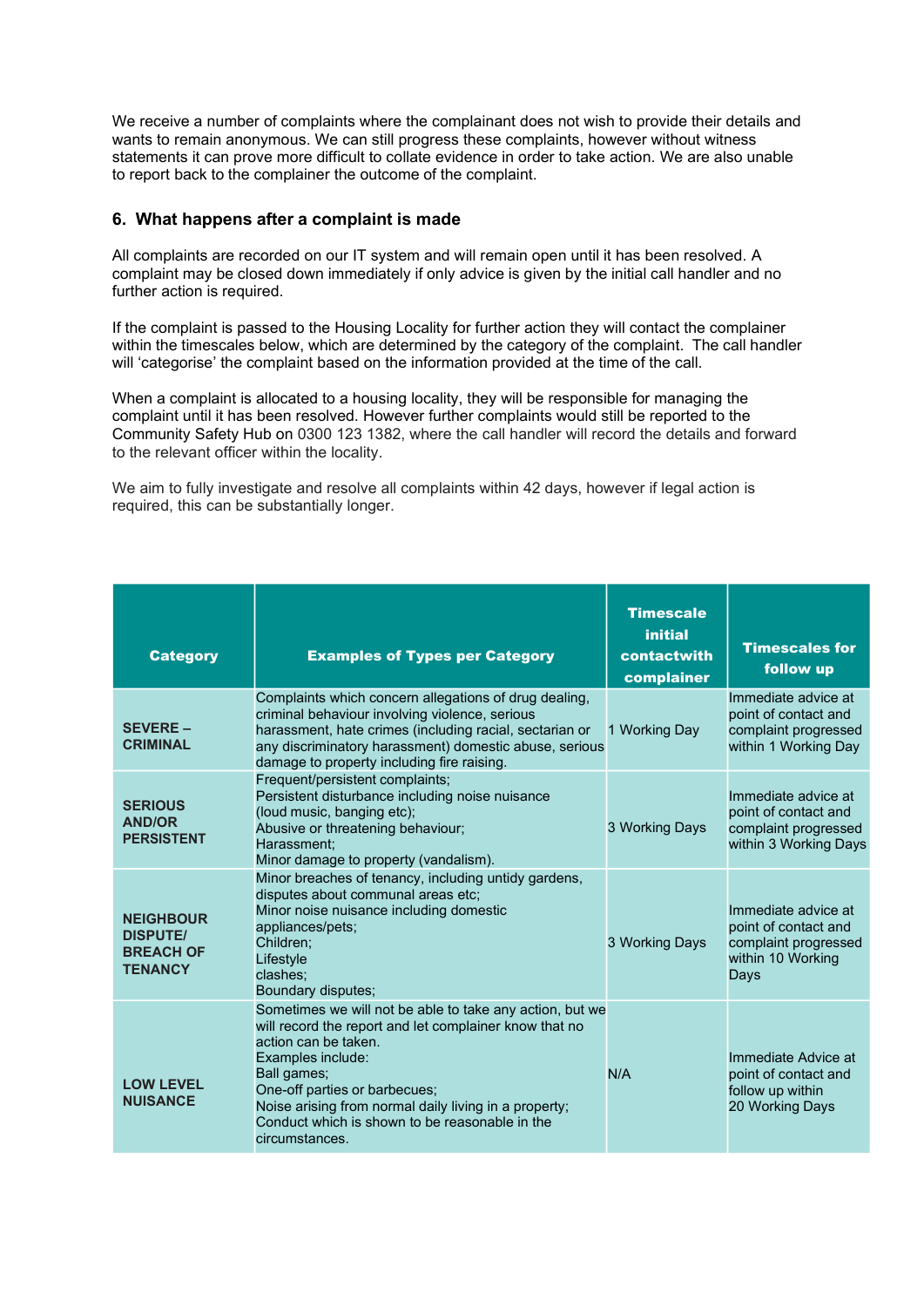We receive a number of complaints where the complainant does not wish to provide their details and wants to remain anonymous. We can still progress these complaints, however without witness statements it can prove more difficult to collate evidence in order to take action. We are also unable to report back to the complainer the outcome of the complaint.

# **6. What happens after a complaint is made**

All complaints are recorded on our IT system and will remain open until it has been resolved. A complaint may be closed down immediately if only advice is given by the initial call handler and no further action is required.

If the complaint is passed to the Housing Locality for further action they will contact the complainer within the timescales below, which are determined by the category of the complaint. The call handler will 'categorise' the complaint based on the information provided at the time of the call.

When a complaint is allocated to a housing locality, they will be responsible for managing the complaint until it has been resolved. However further complaints would still be reported to the Community Safety Hub on 0300 123 1382, where the call handler will record the details and forward to the relevant officer within the locality.

We aim to fully investigate and resolve all complaints within 42 days, however if legal action is required, this can be substantially longer.

| <b>Category</b>                                                           | <b>Examples of Types per Category</b>                                                                                                                                                                                                                                                                                                        | <b>Timescale</b><br><i>initial</i><br>contactwith<br>complainer | <b>Timescales for</b><br>follow up                                                               |
|---------------------------------------------------------------------------|----------------------------------------------------------------------------------------------------------------------------------------------------------------------------------------------------------------------------------------------------------------------------------------------------------------------------------------------|-----------------------------------------------------------------|--------------------------------------------------------------------------------------------------|
| <b>SEVERE-</b><br><b>CRIMINAL</b>                                         | Complaints which concern allegations of drug dealing.<br>criminal behaviour involving violence, serious<br>harassment, hate crimes (including racial, sectarian or<br>any discriminatory harassment) domestic abuse, serious<br>damage to property including fire raising.                                                                   | 1 Working Day                                                   | Immediate advice at<br>point of contact and<br>complaint progressed<br>within 1 Working Day      |
| <b>SERIOUS</b><br><b>AND/OR</b><br><b>PERSISTENT</b>                      | Frequent/persistent complaints;<br>Persistent disturbance including noise nuisance<br>(loud music, banging etc);<br>Abusive or threatening behaviour;<br>Harassment:<br>Minor damage to property (vandalism).                                                                                                                                | 3 Working Days                                                  | Immediate advice at<br>point of contact and<br>complaint progressed<br>within 3 Working Days     |
| <b>NEIGHBOUR</b><br><b>DISPUTE/</b><br><b>BREACH OF</b><br><b>TENANCY</b> | Minor breaches of tenancy, including untidy gardens,<br>disputes about communal areas etc;<br>Minor noise nuisance including domestic<br>appliances/pets;<br>Children:<br>Lifestyle<br>clashes:<br>Boundary disputes;                                                                                                                        | 3 Working Days                                                  | Immediate advice at<br>point of contact and<br>complaint progressed<br>within 10 Working<br>Days |
| <b>LOW LEVEL</b><br><b>NUISANCE</b>                                       | Sometimes we will not be able to take any action, but we<br>will record the report and let complainer know that no<br>action can be taken.<br>Examples include:<br>Ball games;<br>One-off parties or barbecues;<br>Noise arising from normal daily living in a property;<br>Conduct which is shown to be reasonable in the<br>circumstances. | N/A                                                             | Immediate Advice at<br>point of contact and<br>follow up within<br>20 Working Days               |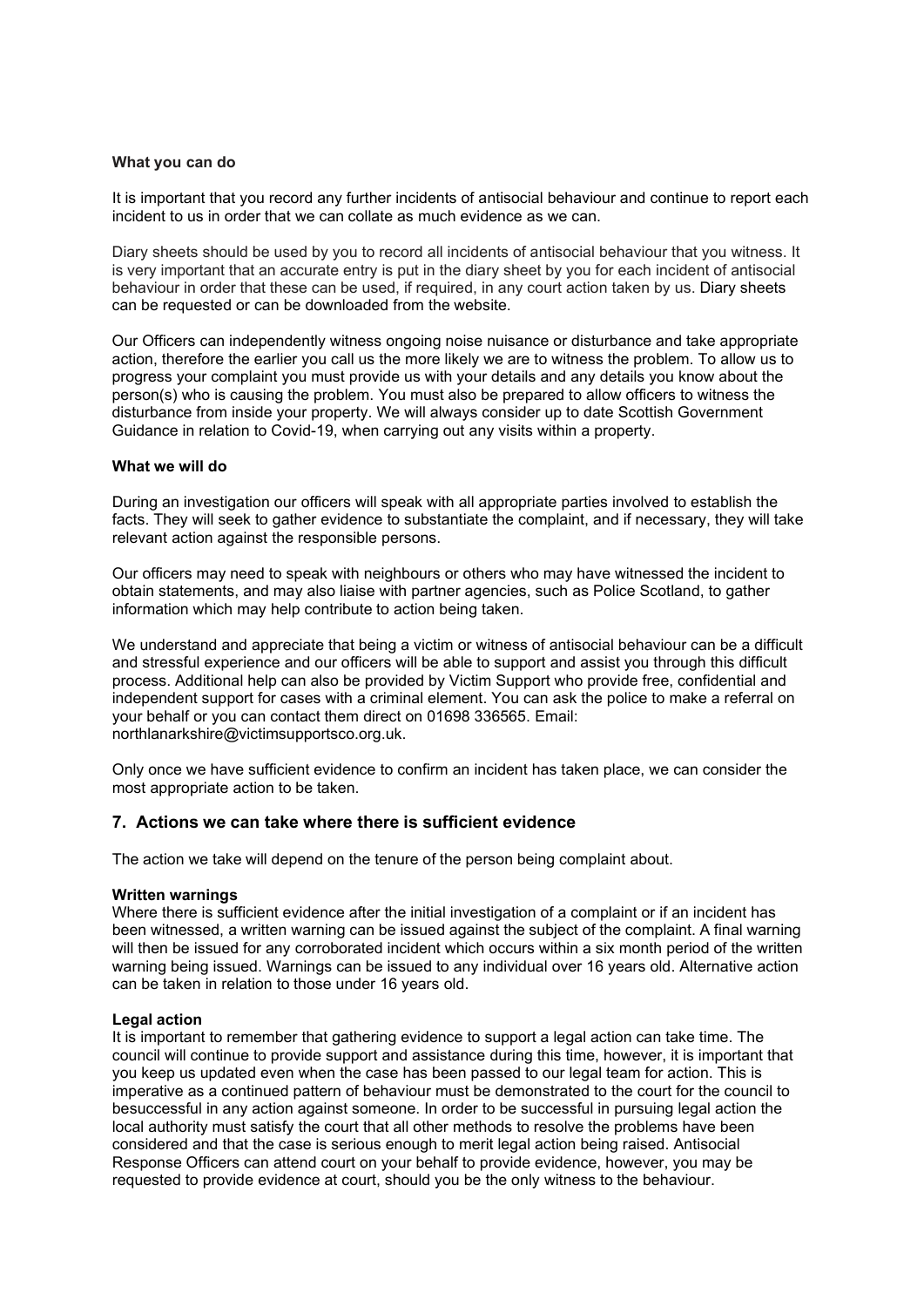# **What you can do**

It is important that you record any further incidents of antisocial behaviour and continue to report each incident to us in order that we can collate as much evidence as we can.

Diary sheets should be used by you to record all incidents of antisocial behaviour that you witness. It is very important that an accurate entry is put in the diary sheet by you for each incident of antisocial behaviour in order that these can be used, if required, in any court action taken by us. Diary sheets can be requested or can be downloaded from the website.

Our Officers can independently witness ongoing noise nuisance or disturbance and take appropriate action, therefore the earlier you call us the more likely we are to witness the problem. To allow us to progress your complaint you must provide us with your details and any details you know about the person(s) who is causing the problem. You must also be prepared to allow officers to witness the disturbance from inside your property. We will always consider up to date Scottish Government Guidance in relation to Covid-19, when carrying out any visits within a property.

## **What we will do**

During an investigation our officers will speak with all appropriate parties involved to establish the facts. They will seek to gather evidence to substantiate the complaint, and if necessary, they will take relevant action against the responsible persons.

Our officers may need to speak with neighbours or others who may have witnessed the incident to obtain statements, and may also liaise with partner agencies, such as Police Scotland, to gather information which may help contribute to action being taken.

We understand and appreciate that being a victim or witness of antisocial behaviour can be a difficult and stressful experience and our officers will be able to support and assist you through this difficult process. Additional help can also be provided by Victim Support who provide free, confidential and independent support for cases with a criminal element. You can ask the police to make a referral on your behalf or you can contact them direct on 01698 336565. Email: [northlanarkshire@victimsupportsco.org.uk.](mailto:northlanarkshire@victimsupportsco.org.uk)

Only once we have sufficient evidence to confirm an incident has taken place, we can consider the most appropriate action to be taken.

# **7. Actions we can take where there is sufficient evidence**

The action we take will depend on the tenure of the person being complaint about.

## **Written warnings**

Where there is sufficient evidence after the initial investigation of a complaint or if an incident has been witnessed, a written warning can be issued against the subject of the complaint. A final warning will then be issued for any corroborated incident which occurs within a six month period of the written warning being issued. Warnings can be issued to any individual over 16 years old. Alternative action can be taken in relation to those under 16 years old.

## **Legal action**

It is important to remember that gathering evidence to support a legal action can take time. The council will continue to provide support and assistance during this time, however, it is important that you keep us updated even when the case has been passed to our legal team for action. This is imperative as a continued pattern of behaviour must be demonstrated to the court for the council to besuccessful in any action against someone. In order to be successful in pursuing legal action the local authority must satisfy the court that all other methods to resolve the problems have been considered and that the case is serious enough to merit legal action being raised. Antisocial Response Officers can attend court on your behalf to provide evidence, however, you may be requested to provide evidence at court, should you be the only witness to the behaviour.